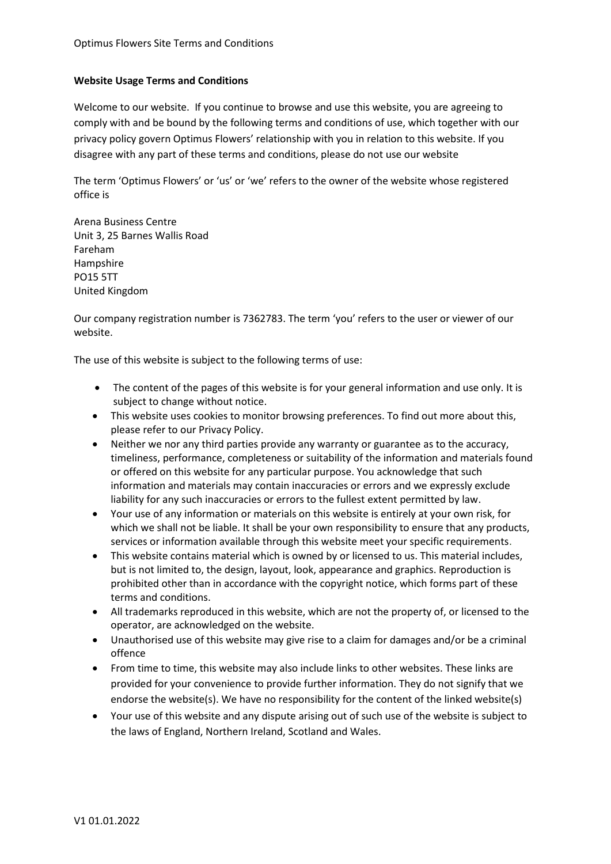## **Website Usage Terms and Conditions**

Welcome to our website. If you continue to browse and use this website, you are agreeing to comply with and be bound by the following terms and conditions of use, which together with our privacy policy govern Optimus Flowers' relationship with you in relation to this website. If you disagree with any part of these terms and conditions, please do not use our website

The term 'Optimus Flowers' or 'us' or 'we' refers to the owner of the website whose registered office is

Arena Business Centre Unit 3, 25 Barnes Wallis Road Fareham Hampshire PO15 5TT United Kingdom

Our company registration number is 7362783. The term 'you' refers to the user or viewer of our website.

The use of this website is subject to the following terms of use:

- The content of the pages of this website is for your general information and use only. It is subject to change without notice.
- This website uses cookies to monitor browsing preferences. To find out more about this, please refer to our Privacy Policy.
- Neither we nor any third parties provide any warranty or guarantee as to the accuracy, timeliness, performance, completeness or suitability of the information and materials found or offered on this website for any particular purpose. You acknowledge that such information and materials may contain inaccuracies or errors and we expressly exclude liability for any such inaccuracies or errors to the fullest extent permitted by law.
- Your use of any information or materials on this website is entirely at your own risk, for which we shall not be liable. It shall be your own responsibility to ensure that any products, services or information available through this website meet your specific requirements.
- This website contains material which is owned by or licensed to us. This material includes, but is not limited to, the design, layout, look, appearance and graphics. Reproduction is prohibited other than in accordance with the copyright notice, which forms part of these terms and conditions.
- All trademarks reproduced in this website, which are not the property of, or licensed to the operator, are acknowledged on the website.
- Unauthorised use of this website may give rise to a claim for damages and/or be a criminal offence
- From time to time, this website may also include links to other websites. These links are provided for your convenience to provide further information. They do not signify that we endorse the website(s). We have no responsibility for the content of the linked website(s)
- Your use of this website and any dispute arising out of such use of the website is subject to the laws of England, Northern Ireland, Scotland and Wales.